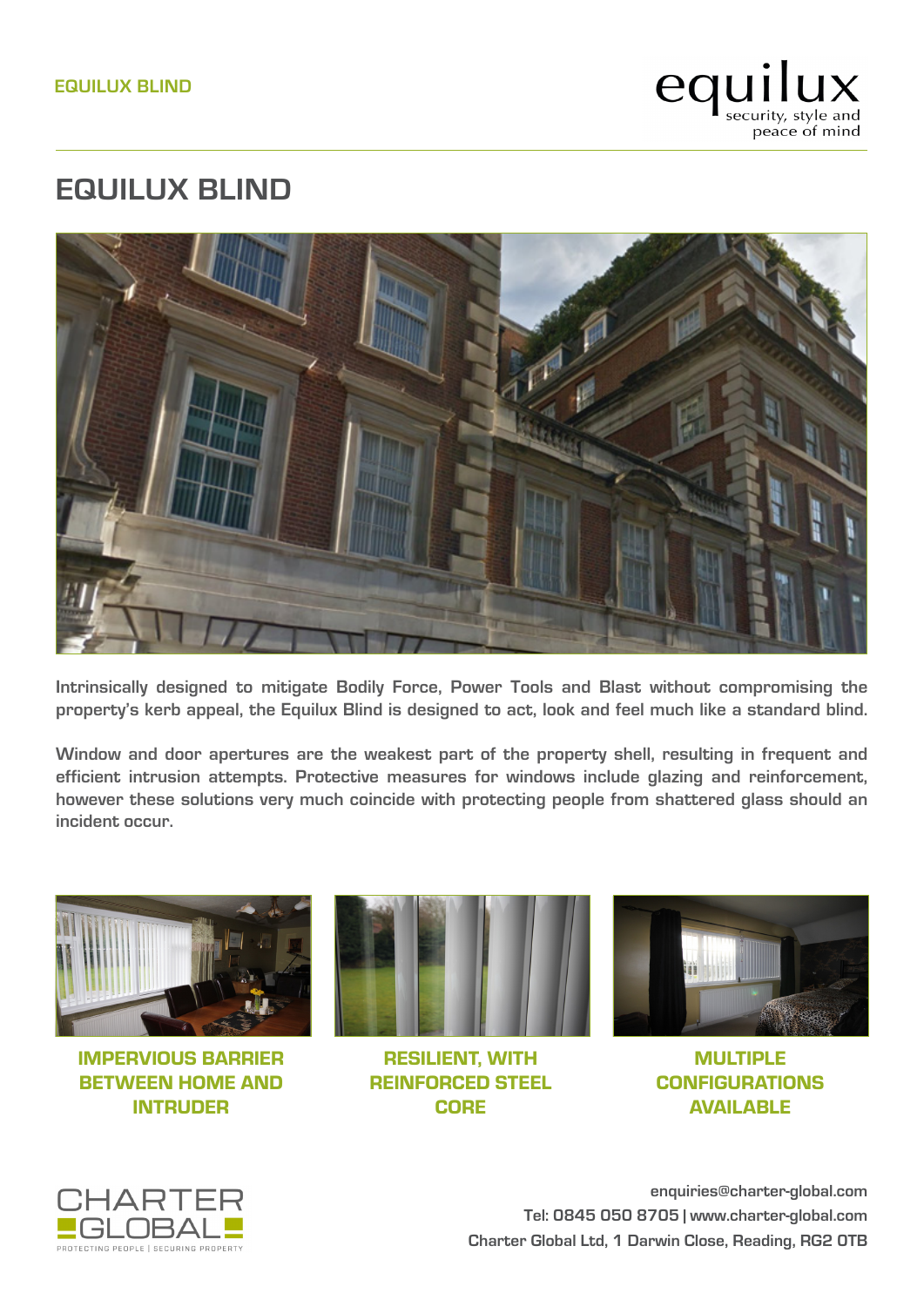

## **EQUILUX BLIND**



**Intrinsically designed to mitigate Bodily Force, Power Tools and Blast without compromising the property's kerb appeal, the Equilux Blind is designed to act, look and feel much like a standard blind.**

**Window and door apertures are the weakest part of the property shell, resulting in frequent and efficient intrusion attempts. Protective measures for windows include glazing and reinforcement, however these solutions very much coincide with protecting people from shattered glass should an incident occur.**



IMPERVIOUS BARRIER BETWEEN HOME AND INTRUDER



RESILIENT, WITH REINFORCED STEEL CORE



MULTIPLE **CONFIGURATIONS** AVAILABLE